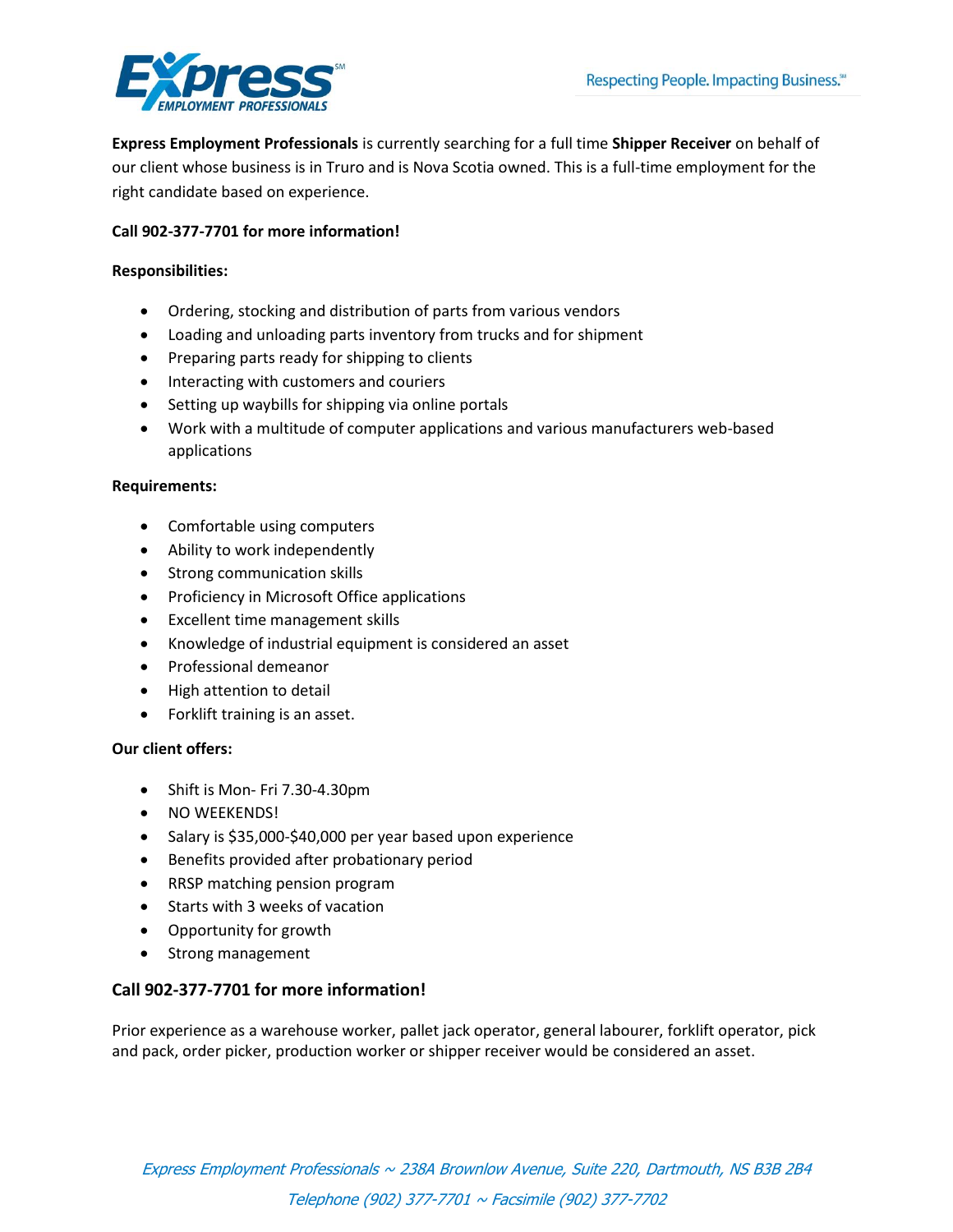

**Express Employment Professionals** is currently searching for a full time **Shipper Receiver** on behalf of our client whose business is in Truro and is Nova Scotia owned. This is a full-time employment for the right candidate based on experience.

# **Call 902-377-7701 for more information!**

### **Responsibilities:**

- Ordering, stocking and distribution of parts from various vendors
- Loading and unloading parts inventory from trucks and for shipment
- Preparing parts ready for shipping to clients
- Interacting with customers and couriers
- Setting up waybills for shipping via online portals
- Work with a multitude of computer applications and various manufacturers web-based applications

#### **Requirements:**

- Comfortable using computers
- Ability to work independently
- Strong communication skills
- Proficiency in Microsoft Office applications
- Excellent time management skills
- Knowledge of industrial equipment is considered an asset
- Professional demeanor
- High attention to detail
- Forklift training is an asset.

## **Our client offers:**

- Shift is Mon- Fri 7.30-4.30pm
- NO WEEKENDS!
- Salary is \$35,000-\$40,000 per year based upon experience
- **•** Benefits provided after probationary period
- RRSP matching pension program
- Starts with 3 weeks of vacation
- Opportunity for growth
- Strong management

## **Call 902-377-7701 for more information!**

Prior experience as a warehouse worker, pallet jack operator, general labourer, forklift operator, pick and pack, order picker, production worker or shipper receiver would be considered an asset.